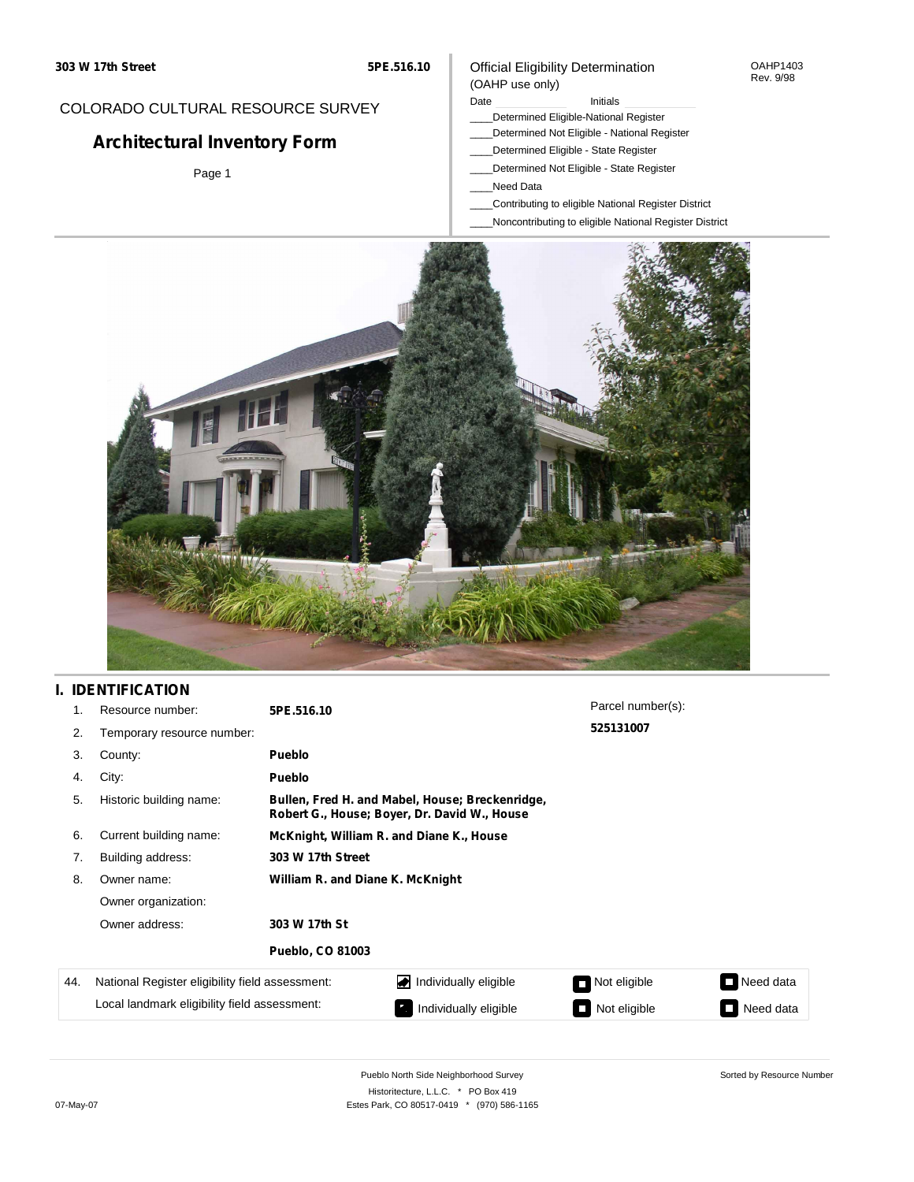## COLORADO CULTURAL RESOURCE SURVEY

# **Architectural Inventory Form**

Page 1

#### Official Eligibility Determination (OAHP use only)

#### Date **Initials** Initials

- \_\_\_\_Determined Eligible-National Register
- \_\_\_\_Determined Not Eligible National Register
	- \_\_\_\_Determined Eligible State Register
- \_\_\_\_Determined Not Eligible State Register
- \_\_\_\_Need Data
- \_\_\_\_Contributing to eligible National Register District
- \_\_\_\_Noncontributing to eligible National Register District



## **I. IDENTIFICATION**

| 1.  | Resource number:                                | 5PE.516.10                                                                                      |                       | Parcel number(s): |           |  |  |  |  |
|-----|-------------------------------------------------|-------------------------------------------------------------------------------------------------|-----------------------|-------------------|-----------|--|--|--|--|
| 2.  | Temporary resource number:                      |                                                                                                 |                       | 525131007         |           |  |  |  |  |
| 3.  | County:                                         | <b>Pueblo</b>                                                                                   |                       |                   |           |  |  |  |  |
| 4.  | City:                                           | <b>Pueblo</b>                                                                                   |                       |                   |           |  |  |  |  |
| 5.  | Historic building name:                         | Bullen, Fred H. and Mabel, House; Breckenridge,<br>Robert G., House; Boyer, Dr. David W., House |                       |                   |           |  |  |  |  |
| 6.  | Current building name:                          | McKnight, William R. and Diane K., House                                                        |                       |                   |           |  |  |  |  |
| 7.  | Building address:                               | 303 W 17th Street                                                                               |                       |                   |           |  |  |  |  |
| 8.  | Owner name:                                     | William R. and Diane K. McKnight                                                                |                       |                   |           |  |  |  |  |
|     | Owner organization:                             |                                                                                                 |                       |                   |           |  |  |  |  |
|     | Owner address:                                  | 303 W 17th St                                                                                   |                       |                   |           |  |  |  |  |
|     |                                                 | <b>Pueblo, CO 81003</b>                                                                         |                       |                   |           |  |  |  |  |
| 44. | National Register eligibility field assessment: | Individually eligible                                                                           |                       | Not eligible      | Need data |  |  |  |  |
|     | Local landmark eligibility field assessment:    |                                                                                                 | Individually eligible | Not eligible      | Need data |  |  |  |  |

Sorted by Resource Number

OAHP1403 Rev. 9/98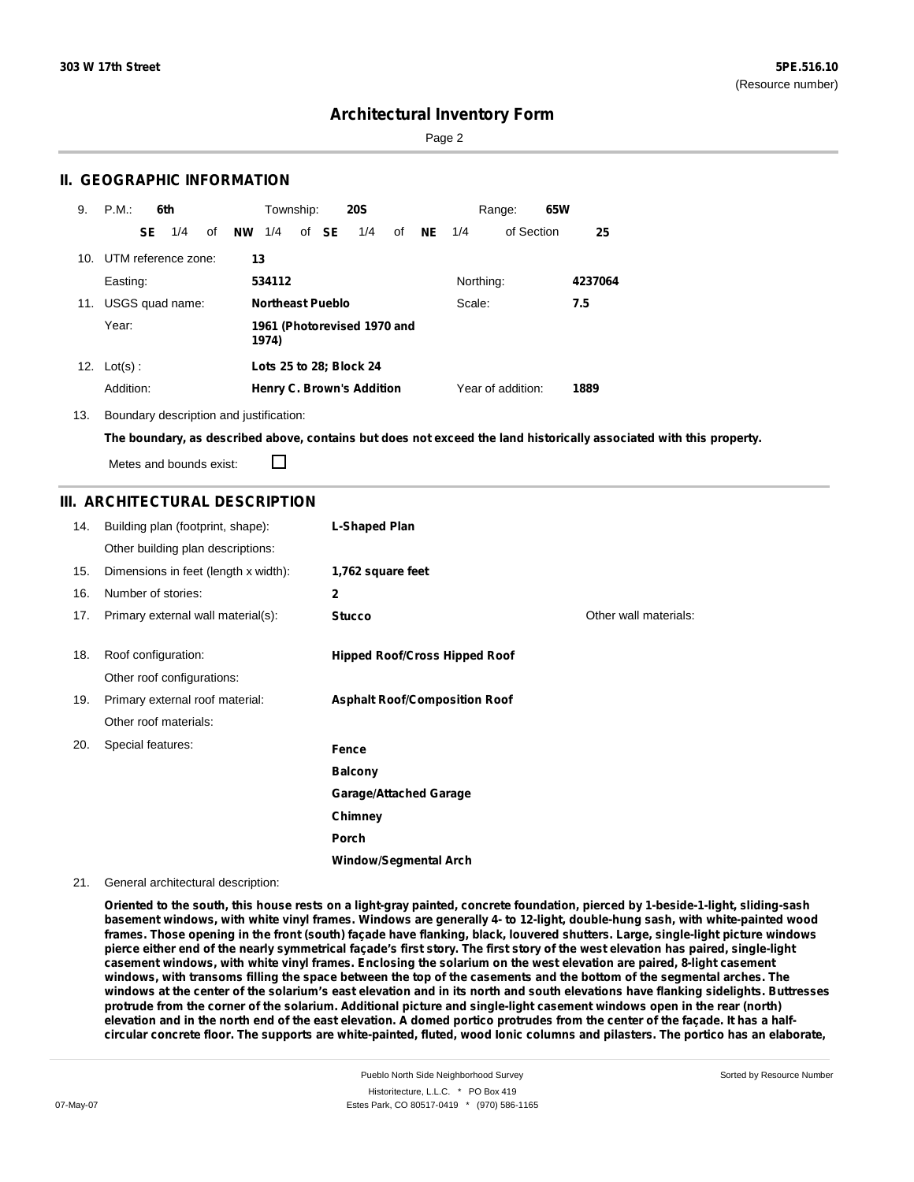Sorted by Resource Number

## **Architectural Inventory Form**

Page 2

### **II. GEOGRAPHIC INFORMATION**

| 9.  | P.M.                |     | 6th             |    |           | Township:        |       | <b>20S</b>                       |    |           |           | Range:            | 65W |         |
|-----|---------------------|-----|-----------------|----|-----------|------------------|-------|----------------------------------|----|-----------|-----------|-------------------|-----|---------|
|     |                     | SE. | 1/4             | οf | <b>NW</b> | 1/4              | of SE | 1/4                              | of | <b>NE</b> | 1/4       | of Section        |     | 25      |
| 10. | UTM reference zone: |     |                 |    | 13        |                  |       |                                  |    |           |           |                   |     |         |
|     | Easting:            |     |                 |    |           | 534112           |       |                                  |    |           | Northing: |                   |     | 4237064 |
| 11. |                     |     | USGS quad name: |    |           | Northeast Pueblo |       |                                  |    |           | Scale:    |                   |     | 7.5     |
|     | Year:               |     |                 |    |           | 1974)            |       | 1961 (Photorevised 1970 and      |    |           |           |                   |     |         |
|     | 12. $Lot(s)$ :      |     |                 |    |           |                  |       | Lots 25 to 28; Block 24          |    |           |           |                   |     |         |
|     | Addition:           |     |                 |    |           |                  |       | <b>Henry C. Brown's Addition</b> |    |           |           | Year of addition: |     | 1889    |

13. Boundary description and justification:

The boundary, as described above, contains but does not exceed the land historically associated with this property.

Metes and bounds exist:

П

### **III. ARCHITECTURAL DESCRIPTION**

| 14. | Building plan (footprint, shape):    | L-Shaped Plan                        |                       |
|-----|--------------------------------------|--------------------------------------|-----------------------|
|     | Other building plan descriptions:    |                                      |                       |
| 15. | Dimensions in feet (length x width): | 1,762 square feet                    |                       |
| 16. | Number of stories:                   | $\overline{2}$                       |                       |
| 17. | Primary external wall material(s):   | <b>Stucco</b>                        | Other wall materials: |
| 18. | Roof configuration:                  | <b>Hipped Roof/Cross Hipped Roof</b> |                       |
|     | Other roof configurations:           |                                      |                       |
| 19. | Primary external roof material:      | <b>Asphalt Roof/Composition Roof</b> |                       |
|     | Other roof materials:                |                                      |                       |
| 20. | Special features:                    | Fence                                |                       |
|     |                                      | <b>Balcony</b>                       |                       |
|     |                                      | <b>Garage/Attached Garage</b>        |                       |
|     |                                      | Chimney                              |                       |
|     |                                      | Porch                                |                       |
|     |                                      | <b>Window/Segmental Arch</b>         |                       |

#### 21. General architectural description:

Oriented to the south, this house rests on a light-gray painted, concrete foundation, pierced by 1-beside-1-light, sliding-sash basement windows, with white vinyl frames. Windows are generally 4- to 12-light, double-hung sash, with white-painted wood frames. Those opening in the front (south) façade have flanking, black, louvered shutters. Large, single-light picture windows pierce either end of the nearly symmetrical façade's first story. The first story of the west elevation has paired, single-light casement windows, with white vinyl frames. Enclosing the solarium on the west elevation are paired, 8-light casement windows, with transoms filling the space between the top of the casements and the bottom of the segmental arches. The windows at the center of the solarium's east elevation and in its north and south elevations have flanking sidelights. Buttresses protrude from the corner of the solarium. Additional picture and single-light casement windows open in the rear (north) elevation and in the north end of the east elevation. A domed portico protrudes from the center of the façade. It has a halfcircular concrete floor. The supports are white-painted, fluted, wood lonic columns and pilasters. The portico has an elaborate,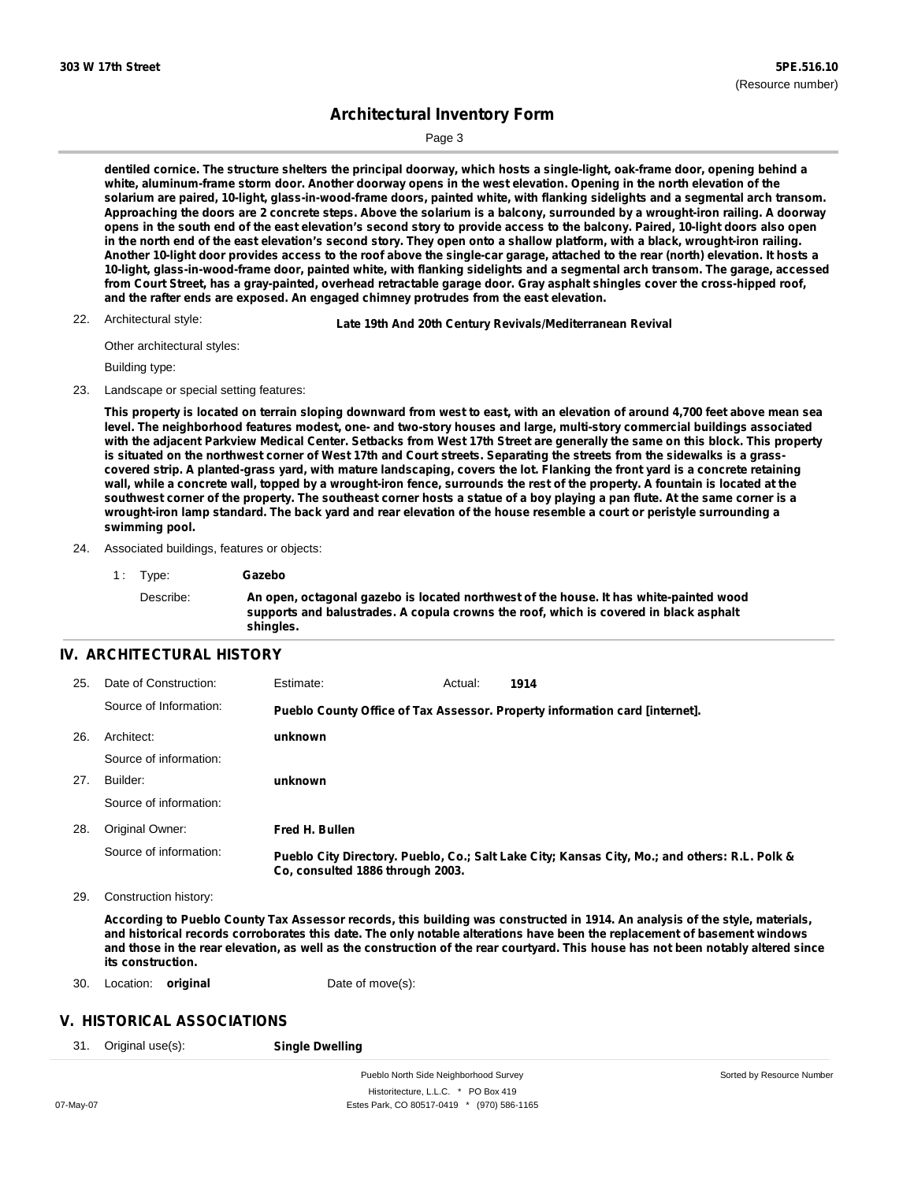Page 3

dentiled cornice. The structure shelters the principal doorway, which hosts a single-light, oak-frame door, opening behind a white, aluminum-frame storm door. Another doorway opens in the west elevation. Opening in the north elevation of the solarium are paired, 10-light, glass-in-wood-frame doors, painted white, with flanking sidelights and a segmental arch transom. Approaching the doors are 2 concrete steps. Above the solarium is a balcony, surrounded by a wrought-iron railing. A doorway opens in the south end of the east elevation's second story to provide access to the balcony. Paired, 10-light doors also open in the north end of the east elevation's second story. They open onto a shallow platform, with a black, wrought-iron railing. Another 10-light door provides access to the roof above the single-car garage, attached to the rear (north) elevation. It hosts a 10-light, glass-in-wood-frame door, painted white, with flanking sidelights and a segmental arch transom. The garage, accessed from Court Street, has a gray-painted, overhead retractable garage door. Gray asphalt shingles cover the cross-hipped roof, **and the rafter ends are exposed. An engaged chimney protrudes from the east elevation.**

22. Architectural style:

22. **Late 19th And 20th Century Revivals/Mediterranean Revival**

Other architectural styles:

Building type:

23. Landscape or special setting features:

This property is located on terrain sloping downward from west to east, with an elevation of around 4,700 feet above mean sea level. The neighborhood features modest, one- and two-story houses and large, multi-story commercial buildings associated with the adjacent Parkview Medical Center. Setbacks from West 17th Street are generally the same on this block. This property is situated on the northwest corner of West 17th and Court streets. Separating the streets from the sidewalks is a grasscovered strip. A planted-grass yard, with mature landscaping, covers the lot. Flanking the front yard is a concrete retaining wall, while a concrete wall, topped by a wrought-iron fence, surrounds the rest of the property. A fountain is located at the southwest corner of the property. The southeast corner hosts a statue of a boy playing a pan flute. At the same corner is a wrought-iron lamp standard. The back yard and rear elevation of the house resemble a court or peristyle surrounding a **swimming pool.**

- 24. Associated buildings, features or objects:
	- 1 : Type: **Gazebo**

Describe: **An open, octagonal gazebo is located northwest of the house. It has white-painted wood supports and balustrades. A copula crowns the roof, which is covered in black asphalt shingles.**

### **IV. ARCHITECTURAL HISTORY**

| 25. | Date of Construction:  | Estimate:                        | Actual: | 1914                                                                                          |
|-----|------------------------|----------------------------------|---------|-----------------------------------------------------------------------------------------------|
|     | Source of Information: |                                  |         | Pueblo County Office of Tax Assessor. Property information card [internet].                   |
| 26. | Architect:             | unknown                          |         |                                                                                               |
|     | Source of information: |                                  |         |                                                                                               |
| 27. | Builder:               | unknown                          |         |                                                                                               |
|     | Source of information: |                                  |         |                                                                                               |
| 28. | Original Owner:        | Fred H. Bullen                   |         |                                                                                               |
|     | Source of information: | Co. consulted 1886 through 2003. |         | Pueblo City Directory. Pueblo, Co.; Salt Lake City; Kansas City, Mo.; and others: R.L. Polk & |

29. Construction history:

According to Pueblo County Tax Assessor records, this building was constructed in 1914. An analysis of the style, materials, and historical records corroborates this date. The only notable alterations have been the replacement of basement windows and those in the rear elevation, as well as the construction of the rear courtyard. This house has not been notably altered since **its construction.**

30. Location: **original** Date of move(s):

#### **V. HISTORICAL ASSOCIATIONS**

31. Original use(s): **Single Dwelling**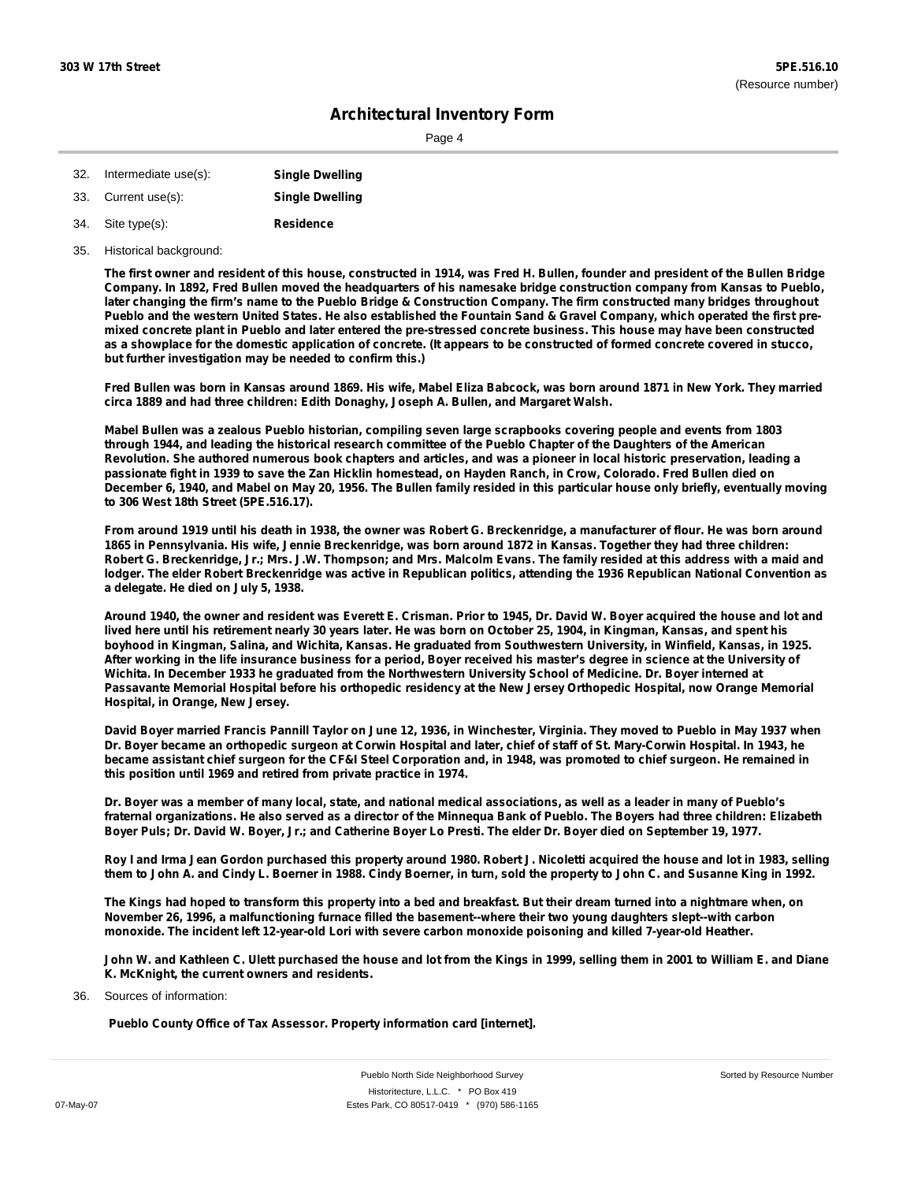Page 4

| 32. | Intermediate use(s): | <b>Single Dwelling</b> |
|-----|----------------------|------------------------|
| 33. | Current use(s):      | <b>Single Dwelling</b> |
| 34. | Site type(s):        | Residence              |

35. Historical background:

The first owner and resident of this house, constructed in 1914, was Fred H. Bullen, founder and president of the Bullen Bridge Company. In 1892, Fred Bullen moved the headquarters of his namesake bridge construction company from Kansas to Pueblo, later changing the firm's name to the Pueblo Bridge & Construction Company. The firm constructed many bridges throughout Pueblo and the western United States. He also established the Fountain Sand & Gravel Company, which operated the first premixed concrete plant in Pueblo and later entered the pre-stressed concrete business. This house may have been constructed as a showplace for the domestic application of concrete. (It appears to be constructed of formed concrete covered in stucco, **but further investigation may be needed to confirm this.)**

Fred Bullen was born in Kansas around 1869. His wife, Mabel Eliza Babcock, was born around 1871 in New York. They married **circa 1889 and had three children: Edith Donaghy, Joseph A. Bullen, and Margaret Walsh.**

Mabel Bullen was a zealous Pueblo historian, compiling seven large scrapbooks covering people and events from 1803 through 1944, and leading the historical research committee of the Pueblo Chapter of the Daughters of the American Revolution. She authored numerous book chapters and articles, and was a pioneer in local historic preservation, leading a passionate fight in 1939 to save the Zan Hicklin homestead, on Hayden Ranch, in Crow, Colorado. Fred Bullen died on December 6, 1940, and Mabel on May 20, 1956. The Bullen family resided in this particular house only briefly, eventually moving **to 306 West 18th Street (5PE.516.17).**

From around 1919 until his death in 1938, the owner was Robert G. Breckenridge, a manufacturer of flour. He was born around 1865 in Pennsylvania. His wife, Jennie Breckenridge, was born around 1872 in Kansas. Together they had three children: Robert G. Breckenridge, Jr.; Mrs. J.W. Thompson; and Mrs. Malcolm Evans. The family resided at this address with a maid and lodger. The elder Robert Breckenridge was active in Republican politics, attending the 1936 Republican National Convention as **a delegate. He died on July 5, 1938.**

Around 1940, the owner and resident was Everett E. Crisman. Prior to 1945, Dr. David W. Boyer acquired the house and lot and lived here until his retirement nearly 30 years later. He was born on October 25, 1904, in Kingman, Kansas, and spent his boyhood in Kingman, Salina, and Wichita, Kansas. He graduated from Southwestern University, in Winfield, Kansas, in 1925. After working in the life insurance business for a period, Boyer received his master's degree in science at the University of Wichita. In December 1933 he graduated from the Northwestern University School of Medicine. Dr. Boyer interned at Passavante Memorial Hospital before his orthopedic residency at the New Jersey Orthopedic Hospital, now Orange Memorial **Hospital, in Orange, New Jersey.**

David Boyer married Francis Pannill Taylor on June 12, 1936, in Winchester, Virginia. They moved to Pueblo in May 1937 when Dr. Boyer became an orthopedic surgeon at Corwin Hospital and later, chief of staff of St. Mary-Corwin Hospital. In 1943, he became assistant chief surgeon for the CF&I Steel Corporation and, in 1948, was promoted to chief surgeon. He remained in **this position until 1969 and retired from private practice in 1974.**

Dr. Boyer was a member of many local, state, and national medical associations, as well as a leader in many of Pueblo's fraternal organizations. He also served as a director of the Minnequa Bank of Pueblo. The Boyers had three children: Elizabeth Boyer Puls; Dr. David W. Boyer, Jr.; and Catherine Boyer Lo Presti. The elder Dr. Boyer died on September 19, 1977.

Roy I and Irma Jean Gordon purchased this property around 1980. Robert J. Nicoletti acquired the house and lot in 1983, selling them to John A. and Cindy L. Boerner in 1988. Cindy Boerner, in turn, sold the property to John C. and Susanne King in 1992.

The Kings had hoped to transform this property into a bed and breakfast. But their dream turned into a nightmare when, on **November 26, 1996, a malfunctioning furnace filled the basement--where their two young daughters slept--with carbon monoxide. The incident left 12-year-old Lori with severe carbon monoxide poisoning and killed 7-year-old Heather.**

John W. and Kathleen C. Ulett purchased the house and lot from the Kings in 1999, selling them in 2001 to William E. and Diane **K. McKnight, the current owners and residents.**

Sources of information: 36.

**Pueblo County Office of Tax Assessor. Property information card [internet].**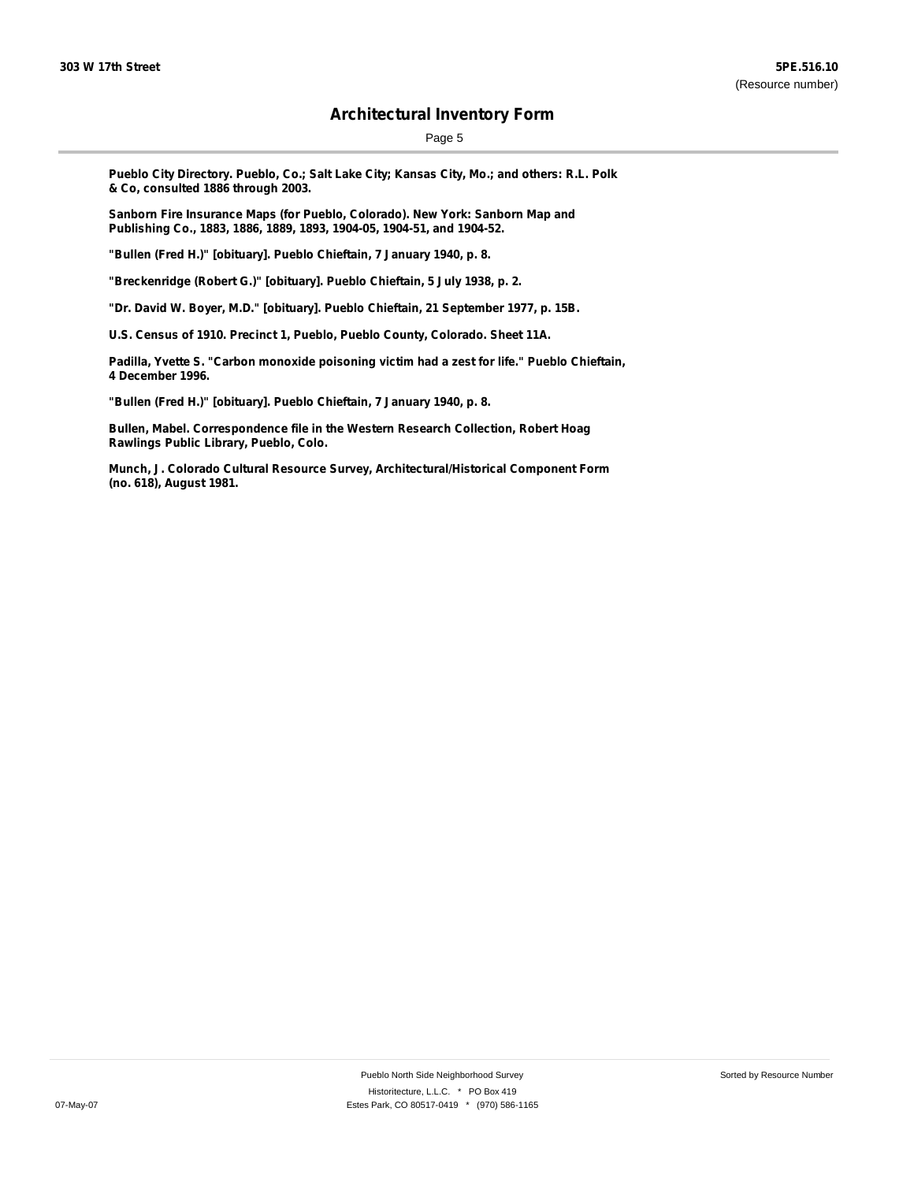Page 5

**Pueblo City Directory. Pueblo, Co.; Salt Lake City; Kansas City, Mo.; and others: R.L. Polk & Co, consulted 1886 through 2003.**

**Sanborn Fire Insurance Maps (for Pueblo, Colorado). New York: Sanborn Map and Publishing Co., 1883, 1886, 1889, 1893, 1904-05, 1904-51, and 1904-52.**

**"Bullen (Fred H.)" [obituary]. Pueblo Chieftain, 7 January 1940, p. 8.**

**"Breckenridge (Robert G.)" [obituary]. Pueblo Chieftain, 5 July 1938, p. 2.**

**"Dr. David W. Boyer, M.D." [obituary]. Pueblo Chieftain, 21 September 1977, p. 15B.**

**U.S. Census of 1910. Precinct 1, Pueblo, Pueblo County, Colorado. Sheet 11A.**

**Padilla, Yvette S. "Carbon monoxide poisoning victim had a zest for life." Pueblo Chieftain, 4 December 1996.**

**"Bullen (Fred H.)" [obituary]. Pueblo Chieftain, 7 January 1940, p. 8.**

**Bullen, Mabel. Correspondence file in the Western Research Collection, Robert Hoag Rawlings Public Library, Pueblo, Colo.**

**Munch, J. Colorado Cultural Resource Survey, Architectural/Historical Component Form (no. 618), August 1981.**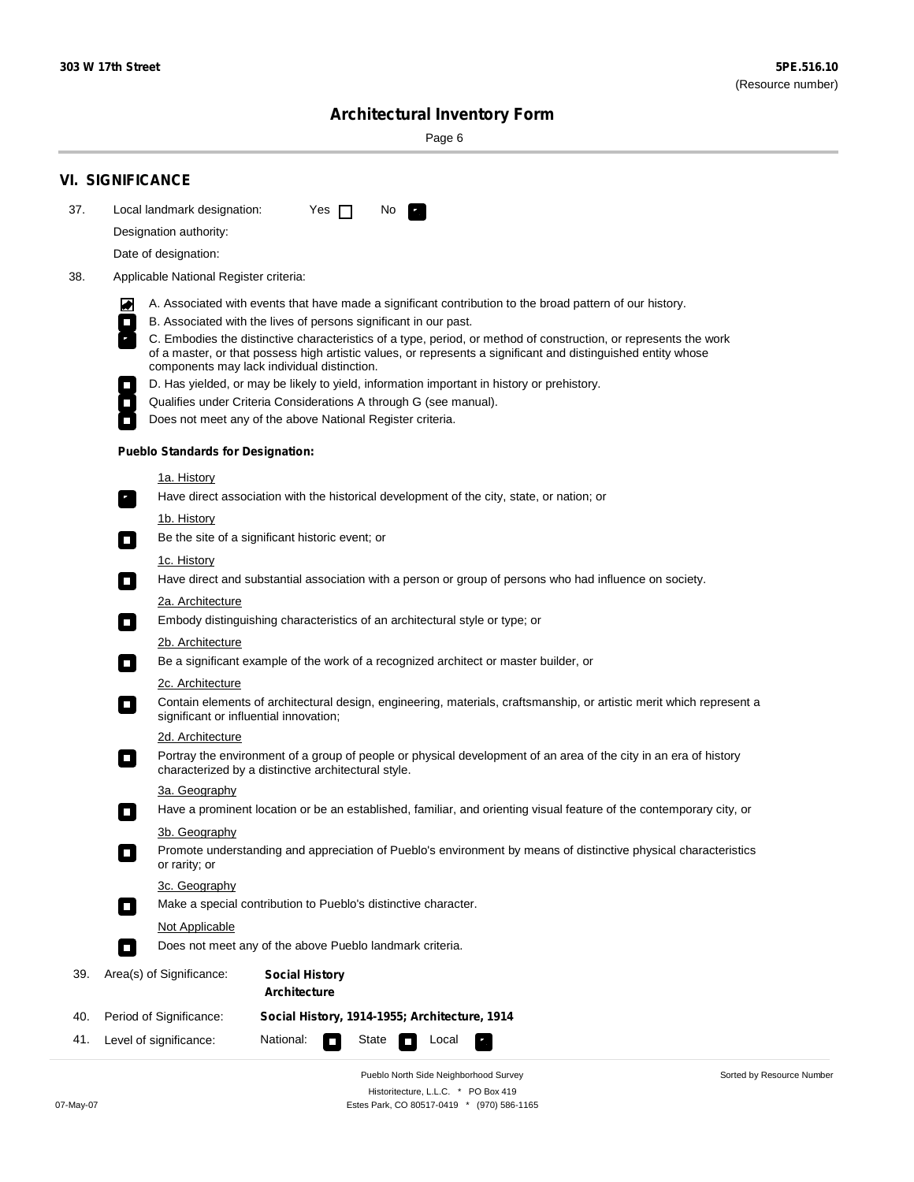Page 6

|     | <b>VI. SIGNIFICANCE</b>                                                                                                                                             |                                              |  |  |     |                                                                                                                     |  |  |  |  |
|-----|---------------------------------------------------------------------------------------------------------------------------------------------------------------------|----------------------------------------------|--|--|-----|---------------------------------------------------------------------------------------------------------------------|--|--|--|--|
| 37. | Local landmark designation:<br>Designation authority:                                                                                                               | Yes $\Box$                                   |  |  | No. | $\mathcal{F}_\alpha$                                                                                                |  |  |  |  |
|     | Date of designation:                                                                                                                                                |                                              |  |  |     |                                                                                                                     |  |  |  |  |
| 38. | Applicable National Register criteria:                                                                                                                              |                                              |  |  |     |                                                                                                                     |  |  |  |  |
|     |                                                                                                                                                                     |                                              |  |  |     |                                                                                                                     |  |  |  |  |
|     | 丙<br>B. Associated with the lives of persons significant in our past.<br>$\Box$                                                                                     |                                              |  |  |     | A. Associated with events that have made a significant contribution to the broad pattern of our history.            |  |  |  |  |
|     |                                                                                                                                                                     |                                              |  |  |     | C. Embodies the distinctive characteristics of a type, period, or method of construction, or represents the work    |  |  |  |  |
|     | components may lack individual distinction.                                                                                                                         |                                              |  |  |     | of a master, or that possess high artistic values, or represents a significant and distinguished entity whose       |  |  |  |  |
|     |                                                                                                                                                                     |                                              |  |  |     | D. Has yielded, or may be likely to yield, information important in history or prehistory.                          |  |  |  |  |
|     | Qualifies under Criteria Considerations A through G (see manual).<br>$\mathcal{L}_{\mathcal{A}}$                                                                    |                                              |  |  |     |                                                                                                                     |  |  |  |  |
|     | Does not meet any of the above National Register criteria.                                                                                                          |                                              |  |  |     |                                                                                                                     |  |  |  |  |
|     | <b>Pueblo Standards for Designation:</b>                                                                                                                            |                                              |  |  |     |                                                                                                                     |  |  |  |  |
|     | 1a. History                                                                                                                                                         |                                              |  |  |     |                                                                                                                     |  |  |  |  |
|     | $\mathbf{r}_i$                                                                                                                                                      |                                              |  |  |     | Have direct association with the historical development of the city, state, or nation; or                           |  |  |  |  |
|     | <u>1b. History</u>                                                                                                                                                  |                                              |  |  |     |                                                                                                                     |  |  |  |  |
|     | Be the site of a significant historic event; or<br>$\Box$                                                                                                           |                                              |  |  |     |                                                                                                                     |  |  |  |  |
|     | 1c. History<br>о                                                                                                                                                    |                                              |  |  |     | Have direct and substantial association with a person or group of persons who had influence on society.             |  |  |  |  |
|     | <b>2a. Architecture</b>                                                                                                                                             |                                              |  |  |     |                                                                                                                     |  |  |  |  |
|     | Embody distinguishing characteristics of an architectural style or type; or<br>$\Box$                                                                               |                                              |  |  |     |                                                                                                                     |  |  |  |  |
|     | <u> 2b. Architecture</u>                                                                                                                                            |                                              |  |  |     |                                                                                                                     |  |  |  |  |
|     | Be a significant example of the work of a recognized architect or master builder, or<br>$\Box$                                                                      |                                              |  |  |     |                                                                                                                     |  |  |  |  |
|     | 2c. Architecture                                                                                                                                                    |                                              |  |  |     |                                                                                                                     |  |  |  |  |
|     | Contain elements of architectural design, engineering, materials, craftsmanship, or artistic merit which represent a<br>О<br>significant or influential innovation; |                                              |  |  |     |                                                                                                                     |  |  |  |  |
|     | 2d. Architecture                                                                                                                                                    |                                              |  |  |     |                                                                                                                     |  |  |  |  |
|     | О<br>characterized by a distinctive architectural style.                                                                                                            |                                              |  |  |     | Portray the environment of a group of people or physical development of an area of the city in an era of history    |  |  |  |  |
|     | 3a. Geography                                                                                                                                                       |                                              |  |  |     |                                                                                                                     |  |  |  |  |
|     | 3b. Geography                                                                                                                                                       |                                              |  |  |     | Have a prominent location or be an established, familiar, and orienting visual feature of the contemporary city, or |  |  |  |  |
|     | or rarity; or                                                                                                                                                       |                                              |  |  |     | Promote understanding and appreciation of Pueblo's environment by means of distinctive physical characteristics     |  |  |  |  |
|     | 3c. Geography                                                                                                                                                       |                                              |  |  |     |                                                                                                                     |  |  |  |  |
|     | Make a special contribution to Pueblo's distinctive character.<br>$\Box$                                                                                            |                                              |  |  |     |                                                                                                                     |  |  |  |  |
|     | <b>Not Applicable</b>                                                                                                                                               |                                              |  |  |     |                                                                                                                     |  |  |  |  |
|     | Does not meet any of the above Pueblo landmark criteria.<br>п                                                                                                       |                                              |  |  |     |                                                                                                                     |  |  |  |  |
| 39. | Area(s) of Significance:                                                                                                                                            | <b>Social History</b><br><b>Architecture</b> |  |  |     |                                                                                                                     |  |  |  |  |
| 40. | Period of Significance:                                                                                                                                             |                                              |  |  |     | Social History, 1914-1955; Architecture, 1914                                                                       |  |  |  |  |
|     | Level of significance:                                                                                                                                              | National:                                    |  |  |     | Local                                                                                                               |  |  |  |  |

Pueblo North Side Neighborhood Survey Historitecture, L.L.C. \* PO Box 419 07-May-07 Estes Park, CO 80517-0419 \* (970) 586-1165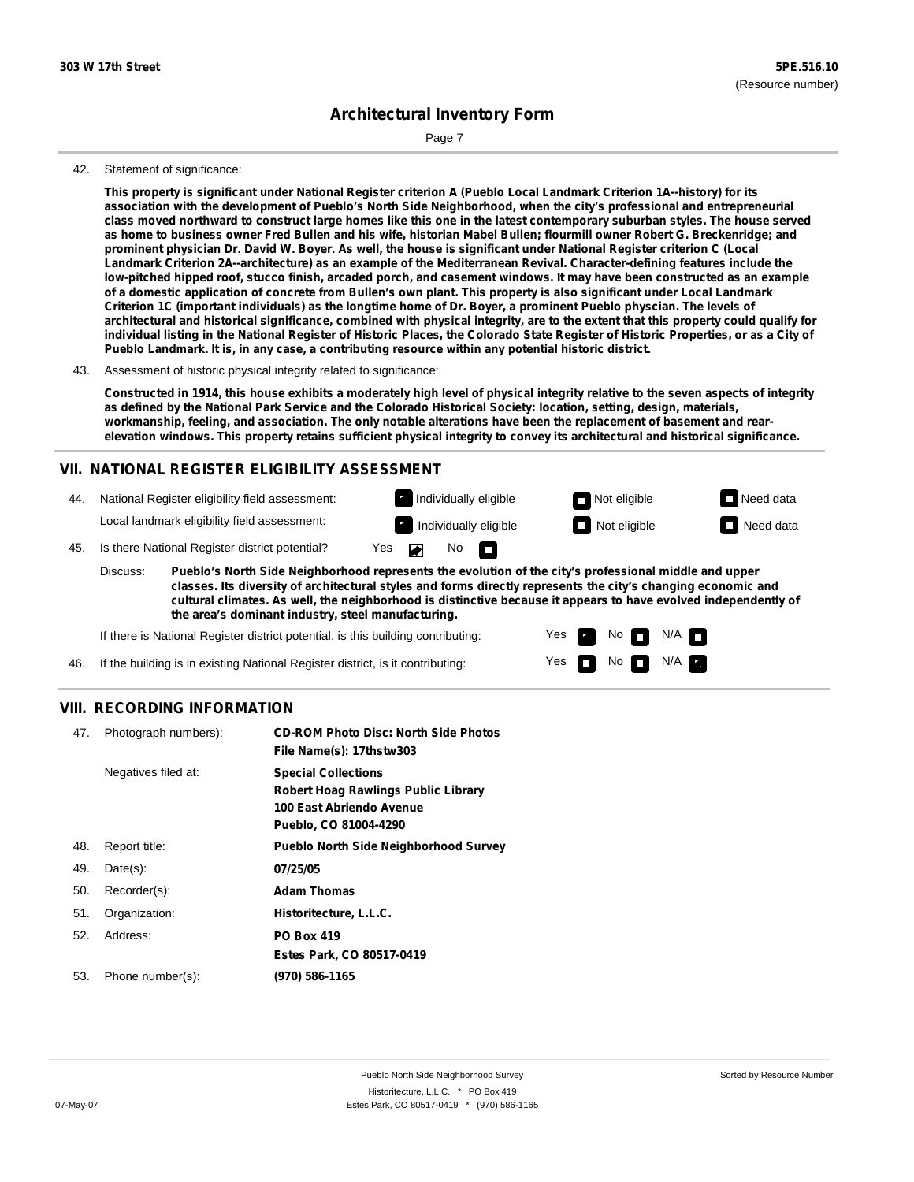Page 7

#### 42. Statement of significance:

This property is significant under National Register criterion A (Pueblo Local Landmark Criterion 1A--history) for its **association with the development of Pueblo's North Side Neighborhood, when the city's professional and entrepreneurial** class moved northward to construct large homes like this one in the latest contemporary suburban styles. The house served as home to business owner Fred Bullen and his wife, historian Mabel Bullen; flourmill owner Robert G. Breckenridge; and prominent physician Dr. David W. Boyer. As well, the house is significant under National Register criterion C (Local **Landmark Criterion 2A--architecture) as an example of the Mediterranean Revival. Character-defining features include the** low-pitched hipped roof, stucco finish, arcaded porch, and casement windows. It may have been constructed as an example of a domestic application of concrete from Bullen's own plant. This property is also significant under Local Landmark Criterion 1C (important individuals) as the longtime home of Dr. Boyer, a prominent Pueblo physcian. The levels of architectural and historical significance, combined with physical integrity, are to the extent that this property could qualify for individual listing in the National Register of Historic Places, the Colorado State Register of Historic Properties, or as a City of **Pueblo Landmark. It is, in any case, a contributing resource within any potential historic district.**

43. Assessment of historic physical integrity related to significance:

Constructed in 1914, this house exhibits a moderately high level of physical integrity relative to the seven aspects of integrity as defined by the National Park Service and the Colorado Historical Society: location, setting, design, materials, workmanship, feeling, and association. The only notable alterations have been the replacement of basement and rearelevation windows. This property retains sufficient physical integrity to convey its architectural and historical significance.

### **VII. NATIONAL REGISTER ELIGIBILITY ASSESSMENT**

| 44. | National Register eligibility field assessment:    | Not eligible<br>Individually eligible                  | $\Box$ Need data |
|-----|----------------------------------------------------|--------------------------------------------------------|------------------|
|     | Local landmark eligibility field assessment:       | $\Box$ Not eligible<br><b>12</b> Individually eligible | $\Box$ Need data |
|     | 45. Is there National Register district potential? | Yes<br>- n<br>No.                                      |                  |

**Pueblo's North Side Neighborhood represents the evolution of the city's professional middle and upper classes. Its diversity of architectural styles and forms directly represents the city's changing economic and cultural climates. As well, the neighborhood is distinctive because it appears to have evolved independently of the area's dominant industry, steel manufacturing.** Discuss:

Yes

Yes **not** Not N/A

No<sub>n</sub>

 $N/A$   $\Box$ 

If there is National Register district potential, is this building contributing:

46. If the building is in existing National Register district, is it contributing:

#### **VIII. RECORDING INFORMATION**

| 47. | Photograph numbers): | <b>CD-ROM Photo Disc: North Side Photos</b><br>File Name(s): 17thstw303                                                       |
|-----|----------------------|-------------------------------------------------------------------------------------------------------------------------------|
|     | Negatives filed at:  | <b>Special Collections</b><br><b>Robert Hoag Rawlings Public Library</b><br>100 East Abriendo Avenue<br>Pueblo, CO 81004-4290 |
| 48. | Report title:        | <b>Pueblo North Side Neighborhood Survey</b>                                                                                  |
| 49. | $Date(s)$ :          | 07/25/05                                                                                                                      |
| 50. | Recorder(s):         | <b>Adam Thomas</b>                                                                                                            |
| 51. | Organization:        | Historitecture, L.L.C.                                                                                                        |
| 52. | Address:             | <b>PO Box 419</b>                                                                                                             |
|     |                      | Estes Park, CO 80517-0419                                                                                                     |
| 53. | Phone number(s):     | (970) 586-1165                                                                                                                |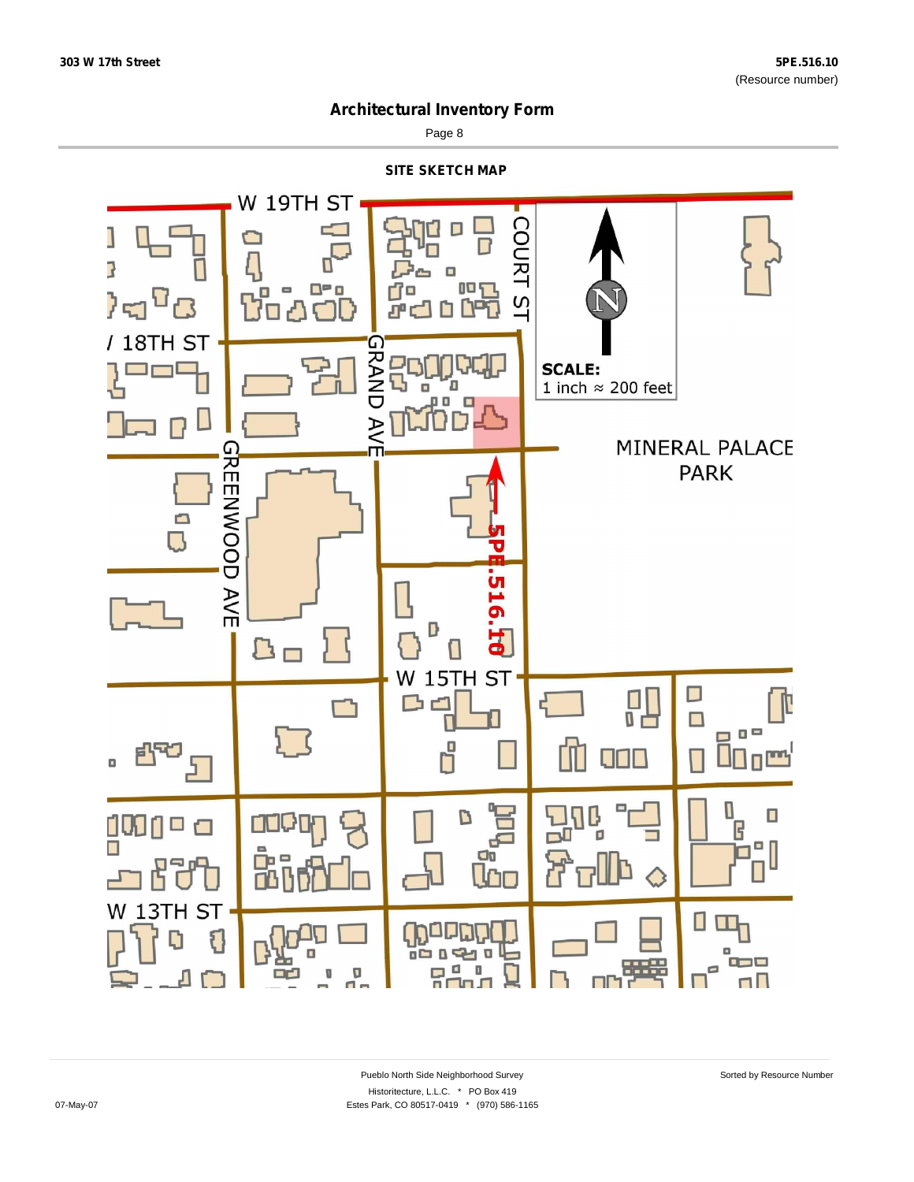

Page 8